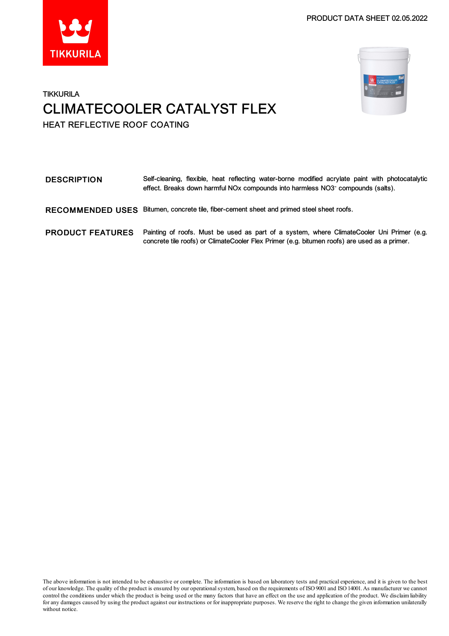PRODUCT DATA SHEET 02.05.2022





### **TIKKURILA** CLIMATECOOLER CATALYST FLEX HEAT REFLECTIVE ROOF COATING

| <b>DESCRIPTION</b>      | Self-cleaning, flexible, heat reflecting water-borne modified acrylate paint with photocatalytic<br>effect. Breaks down harmful NOx compounds into harmless NO3 <sup>-</sup> compounds (salts). |
|-------------------------|-------------------------------------------------------------------------------------------------------------------------------------------------------------------------------------------------|
| <b>RECOMMENDED USES</b> | Bitumen, concrete tile, fiber-cement sheet and primed steel sheet roofs.                                                                                                                        |
| <b>PRODUCT FEATURES</b> | Painting of roofs. Must be used as part of a system, where ClimateCooler Uni Primer (e.g.<br>concrete tile roofs) or ClimateCooler Flex Primer (e.g. bitumen roofs) are used as a primer.       |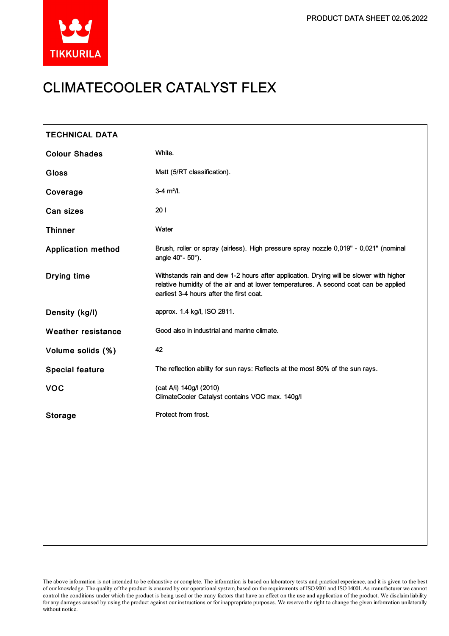

# CLIMATECOOLER CATALYST FLEX

| <b>TECHNICAL DATA</b>     |                                                                                                                                                                                                                            |
|---------------------------|----------------------------------------------------------------------------------------------------------------------------------------------------------------------------------------------------------------------------|
| <b>Colour Shades</b>      | White.                                                                                                                                                                                                                     |
| <b>Gloss</b>              | Matt (5/RT classification).                                                                                                                                                                                                |
| Coverage                  | $3-4$ m <sup>2</sup> /l.                                                                                                                                                                                                   |
| Can sizes                 | 201                                                                                                                                                                                                                        |
| <b>Thinner</b>            | Water                                                                                                                                                                                                                      |
| <b>Application method</b> | Brush, roller or spray (airless). High pressure spray nozzle 0,019" - 0,021" (nominal<br>angle 40°- 50°).                                                                                                                  |
| <b>Drying time</b>        | Withstands rain and dew 1-2 hours after application. Drying will be slower with higher<br>relative humidity of the air and at lower temperatures. A second coat can be applied<br>earliest 3-4 hours after the first coat. |
| Density (kg/l)            | approx. 1.4 kg/l, ISO 2811.                                                                                                                                                                                                |
| <b>Weather resistance</b> | Good also in industrial and marine climate.                                                                                                                                                                                |
| Volume solids (%)         | 42                                                                                                                                                                                                                         |
| <b>Special feature</b>    | The reflection ability for sun rays: Reflects at the most 80% of the sun rays.                                                                                                                                             |
| <b>VOC</b>                | (cat A/i) 140g/l (2010)<br>ClimateCooler Catalyst contains VOC max. 140g/l                                                                                                                                                 |
| <b>Storage</b>            | Protect from frost.                                                                                                                                                                                                        |
|                           |                                                                                                                                                                                                                            |
|                           |                                                                                                                                                                                                                            |
|                           |                                                                                                                                                                                                                            |
|                           |                                                                                                                                                                                                                            |
|                           |                                                                                                                                                                                                                            |
|                           |                                                                                                                                                                                                                            |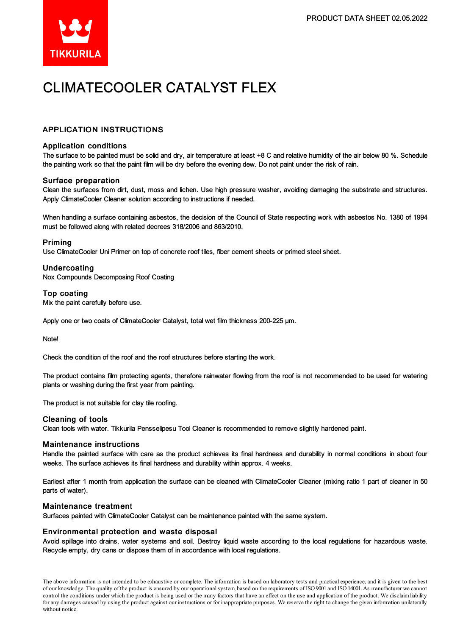

## CLIMATECOOLER CATALYST FLEX

### APPLICATION INSTRUCTIONS

#### Application conditions

The surface to be painted must be solid and dry, air temperature at least +8 C and relative humidity of the air below 80 %. Schedule the painting work so that the paint film will be dry before the evening dew. Do not paint under the risk of rain.

#### Surface preparation

Clean the surfaces from dirt, dust, moss and lichen. Use high pressure washer, avoiding damaging the substrate and structures. Apply ClimateCooler Cleaner solution according to instructions if needed.

When handling a surface containing asbestos, the decision of the Council of State respecting work with asbestos No. 1380 of 1994 must be followed along with related decrees 318/2006 and 863/2010.

#### Priming

Use ClimateCooler Uni Primer on top of concrete roof tiles, fiber cement sheets or primed steelsheet.

#### Undercoating

Nox Compounds Decomposing Roof Coating

#### Top coating

Mix the paint carefully before use.

Apply one or two coats of ClimateCooler Catalyst, total wet film thickness 200-225 µm.

Note!

Check the condition of the roof and the roof structures before starting the work.

The product contains film protecting agents, therefore rainwater flowing from the roof is not recommended to be used for watering plants or washing during the first year from painting.

The product is not suitable for clay tile roofing.

#### Cleaning of tools

Clean tools with water. Tikkurila Pensselipesu Tool Cleaner is recommended to remove slightly hardened paint.

#### Maintenance instructions

Handle the painted surface with care as the product achieves its final hardness and durability in normal conditions in about four weeks. The surface achieves its final hardness and durability within approx. 4 weeks.

Earliest after 1 month from application the surface can be cleaned with ClimateCooler Cleaner (mixing ratio 1 part of cleaner in 50 parts of water).

#### Maintenance treatment

Surfaces painted with ClimateCooler Catalyst can be maintenance painted with the same system.

#### Environmental protection and waste disposal

Avoid spillage into drains, water systems and soil. Destroy liquid waste according to the local regulations for hazardous waste. Recycle empty, dry cans or dispose them of in accordance with local regulations.